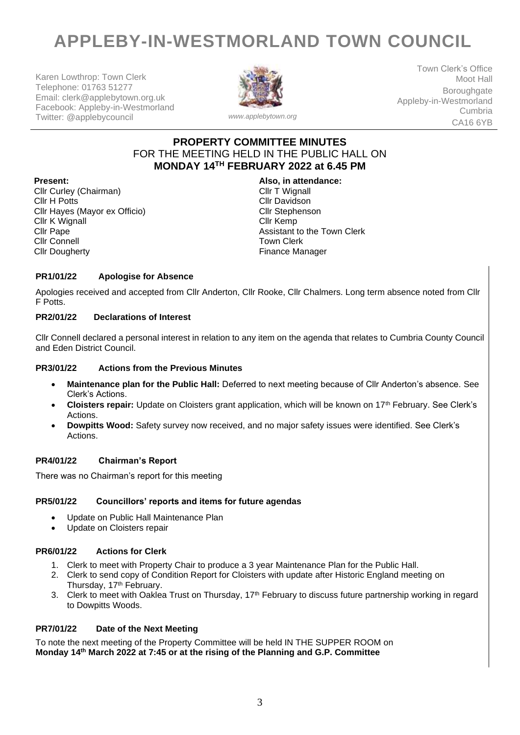# **APPLEBY-IN-WESTMORLAND TOWN COUNCIL**

Karen Lowthrop: Town Clerk Telephone: 01763 51277 Email: clerk@applebytown.org.uk Facebook: Appleby-in-Westmorland Twitter: @applebycouncil *www.applebytown.org*



Town Clerk's Office Moot Hall **Boroughgate** Appleby-in-Westmorland Cumbria CA16 6YB

## **PROPERTY COMMITTEE MINUTES** FOR THE MEETING HELD IN THE PUBLIC HALL ON **MONDAY 14TH FEBRUARY 2022 at 6.45 PM**

Cllr Curley (Chairman) Cllr H Potts Cllr Hayes (Mayor ex Officio) Cllr K Wignall Cllr Pape Cllr Connell Cllr Dougherty

**Present: Also, in attendance:** Cllr T Wignall Cllr Davidson Cllr Stephenson Cllr Kemp Assistant to the Town Clerk Town Clerk Finance Manager

### **PR1/01/22 Apologise for Absence**

Apologies received and accepted from Cllr Anderton, Cllr Rooke, Cllr Chalmers. Long term absence noted from Cllr F Potts.

#### **PR2/01/22 Declarations of Interest**

Cllr Connell declared a personal interest in relation to any item on the agenda that relates to Cumbria County Council and Eden District Council.

#### **PR3/01/22 Actions from the Previous Minutes**

- **Maintenance plan for the Public Hall:** Deferred to next meeting because of Cllr Anderton's absence. See Clerk's Actions.
- **Cloisters repair:** Update on Cloisters grant application, which will be known on 17th February. See Clerk's Actions.
- **Dowpitts Wood:** Safety survey now received, and no major safety issues were identified. See Clerk's Actions.

#### **PR4/01/22 Chairman's Report**

There was no Chairman's report for this meeting

#### **PR5/01/22 Councillors' reports and items for future agendas**

- Update on Public Hall Maintenance Plan
- Update on Cloisters repair

#### **PR6/01/22 Actions for Clerk**

- 1. Clerk to meet with Property Chair to produce a 3 year Maintenance Plan for the Public Hall.
- 2. Clerk to send copy of Condition Report for Cloisters with update after Historic England meeting on Thursday, 17<sup>th</sup> February.
- 3. Clerk to meet with Oaklea Trust on Thursday, 17<sup>th</sup> February to discuss future partnership working in regard to Dowpitts Woods.

#### **PR7/01/22 Date of the Next Meeting**

To note the next meeting of the Property Committee will be held IN THE SUPPER ROOM on **Monday 14th March 2022 at 7:45 or at the rising of the Planning and G.P. Committee**